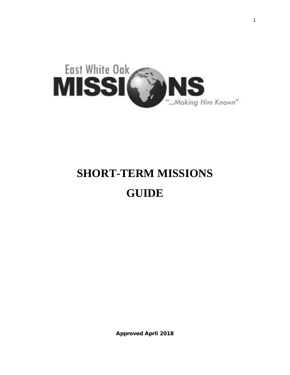

# **SHORT-TERM MISSIONS GUIDE**

Approved April 2018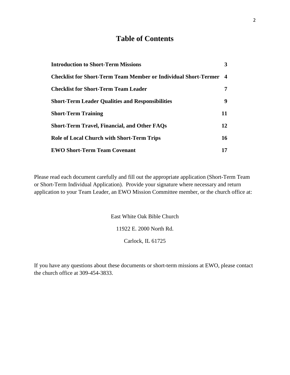# **Table of Contents**

| <b>Introduction to Short-Term Missions</b>                      | 3                |
|-----------------------------------------------------------------|------------------|
| Checklist for Short-Term Team Member or Individual Short-Termer | $\boldsymbol{4}$ |
| <b>Checklist for Short-Term Team Leader</b>                     |                  |
| <b>Short-Term Leader Qualities and Responsibilities</b>         | 9                |
| <b>Short-Term Training</b>                                      | 11               |
| <b>Short-Term Travel, Financial, and Other FAQs</b>             | 12               |
| <b>Role of Local Church with Short-Term Trips</b>               | 16               |
| <b>EWO Short-Term Team Covenant</b>                             | 17               |

Please read each document carefully and fill out the appropriate application (Short-Term Team or Short-Term Individual Application). Provide your signature where necessary and return application to your Team Leader, an EWO Mission Committee member, or the church office at:

East White Oak Bible Church

11922 E. 2000 North Rd.

Carlock, IL 61725

If you have any questions about these documents or short-term missions at EWO, please contact the church office at 309-454-3833.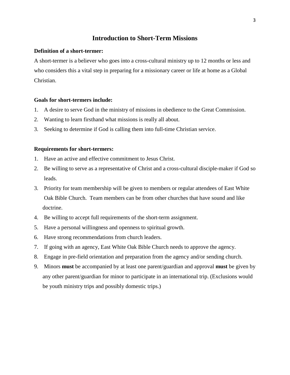#### **Introduction to Short-Term Missions**

#### **Definition of a short-termer:**

A short-termer is a believer who goes into a cross-cultural ministry up to 12 months or less and who considers this a vital step in preparing for a missionary career or life at home as a Global Christian.

#### **Goals for short-termers include:**

- 1. A desire to serve God in the ministry of missions in obedience to the Great Commission.
- 2. Wanting to learn firsthand what missions is really all about.
- 3. Seeking to determine if God is calling them into full-time Christian service.

#### **Requirements for short-termers:**

- 1. Have an active and effective commitment to Jesus Christ.
- 2. Be willing to serve as a representative of Christ and a cross-cultural disciple-maker if God so leads.
- 3. Priority for team membership will be given to members or regular attendees of East White Oak Bible Church. Team members can be from other churches that have sound and like doctrine.
- 4. Be willing to accept full requirements of the short-term assignment.
- 5. Have a personal willingness and openness to spiritual growth.
- 6. Have strong recommendations from church leaders.
- 7. If going with an agency, East White Oak Bible Church needs to approve the agency.
- 8. Engage in pre-field orientation and preparation from the agency and/or sending church.
- 9. Minors **must** be accompanied by at least one parent/guardian and approval **must** be given by any other parent/guardian for minor to participate in an international trip. (Exclusions would be youth ministry trips and possibly domestic trips.)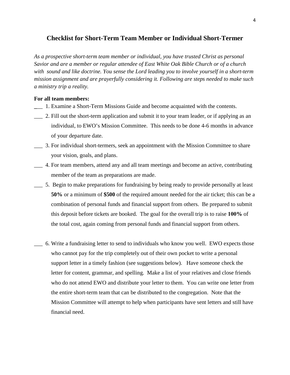#### **Checklist for Short-Term Team Member or Individual Short-Termer**

*As a prospective short-term team member or individual, you have trusted Christ as personal Savior and are a member or regular attendee of East White Oak Bible Church or of a church with sound and like doctrine. You sense the Lord leading you to involve yourself in a short-term mission assignment and are prayerfully considering it. Following are steps needed to make such a ministry trip a reality.*

#### **For all team members:**

- **\_**\_\_ 1. Examine a Short-Term Missions Guide and become acquainted with the contents.
- \_\_\_ 2. Fill out the short-term application and submit it to your team leader, or if applying as an individual, to EWO's Mission Committee. This needs to be done 4-6 months in advance of your departure date.
- \_\_\_ 3. For individual short-termers, seek an appointment with the Mission Committee to share your vision, goals, and plans.
- \_\_\_ 4. For team members, attend any and all team meetings and become an active, contributing member of the team as preparations are made.
- \_\_\_ 5. Begin to make preparations for fundraising by being ready to provide personally at least **50%** or a minimum of **\$500** of the required amount needed for the air ticket; this can be a combination of personal funds and financial support from others. Be prepared to submit this deposit before tickets are booked. The goal for the overall trip is to raise **100%** of the total cost, again coming from personal funds and financial support from others.
- \_\_\_ 6. Write a fundraising letter to send to individuals who know you well. EWO expects those who cannot pay for the trip completely out of their own pocket to write a personal support letter in a timely fashion (see suggestions below). Have someone check the letter for content, grammar, and spelling. Make a list of your relatives and close friends who do not attend EWO and distribute your letter to them. You can write one letter from the entire short-term team that can be distributed to the congregation. Note that the Mission Committee will attempt to help when participants have sent letters and still have financial need.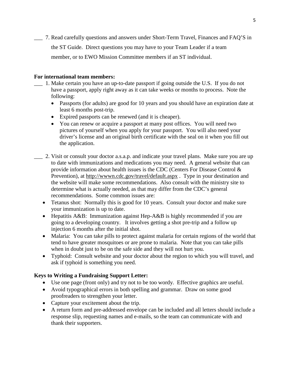\_\_\_ 7. Read carefully questions and answers under Short-Term Travel, Finances and FAQ'S in the ST Guide. Direct questions you may have to your Team Leader if a team member, or to EWO Mission Committee members if an ST individual.

#### **For international team members:**

- \_\_\_ 1. Make certain you have an up-to-date passport if going outside the U.S. If you do not have a passport, apply right away as it can take weeks or months to process. Note the following:
	- Passports (for adults) are good for 10 years and you should have an expiration date at least 6 months post-trip.
	- Expired passports can be renewed (and it is cheaper).
	- You can renew or acquire a passport at many post offices. You will need two pictures of yourself when you apply for your passport. You will also need your driver's license and an original birth certificate with the seal on it when you fill out the application.
- \_\_\_ 2. Visit or consult your doctor a.s.a.p. and indicate your travel plans. Make sure you are up to date with immunizations and medications you may need. A general website that can provide information about health issues is the CDC (Centers For Disease Control & Prevention), at<http://wwwn.cdc.gov/travel/default.aspx>. Type in your destination and the website will make some recommendations. Also consult with the ministry site to determine what is actually needed, as that may differ from the CDC's general recommendations. Some common issues are:
	- Tetanus shot: Normally this is good for 10 years. Consult your doctor and make sure your immunization is up to date.
	- Hepatitis A&B: Immunization against Hep-A&B is highly recommended if you are going to a developing country. It involves getting a shot pre-trip and a follow up injection 6 months after the initial shot.
	- Malaria: You can take pills to protect against malaria for certain regions of the world that tend to have greater mosquitoes or are prone to malaria. Note that you can take pills when in doubt just to be on the safe side and they will not hurt you.
	- Typhoid: Consult website and your doctor about the region to which you will travel, and ask if typhoid is something you need.

#### **Keys to Writing a Fundraising Support Letter:**

- Use one page (front only) and try not to be too wordy. Effective graphics are useful.
- Avoid typographical errors in both spelling and grammar. Draw on some good proofreaders to strengthen your letter.
- Capture your excitement about the trip.
- A return form and pre-addressed envelope can be included and all letters should include a response slip, requesting names and e-mails, so the team can communicate with and thank their supporters.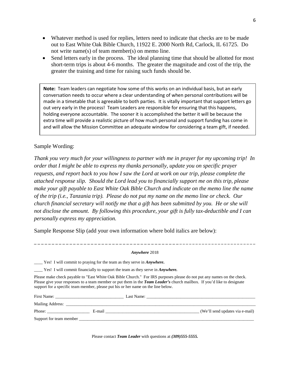- Whatever method is used for replies, letters need to indicate that checks are to be made out to East White Oak Bible Church, 11922 E. 2000 North Rd, Carlock, IL 61725. Do not write name(s) of team member(s) on memo line.
- Send letters early in the process. The ideal planning time that should be allotted for most short-term trips is about 4-6 months. The greater the magnitude and cost of the trip, the greater the training and time for raising such funds should be.

**Note:** Team leaders can negotiate how some of this works on an individual basis, but an early conversation needs to occur where a clear understanding of when personal contributions will be made in a timetable that is agreeable to both parties. It is vitally important that support letters go out very early in the process! Team Leaders are responsible for ensuring that this happens, holding everyone accountable. The sooner it is accomplished the better it will be because the extra time will provide a realistic picture of how much personal and support funding has come in and will allow the Mission Committee an adequate window for considering a team gift, if needed.

#### Sample Wording:

*Thank you very much for your willingness to partner with me in prayer for my upcoming trip! In order that I might be able to express my thanks personally, update you on specific prayer requests, and report back to you how I saw the Lord at work on our trip, please complete the attached response slip. Should the Lord lead you to financially support me on this trip, please make your gift payable to East White Oak Bible Church and indicate on the memo line the name of the trip (i.e., Tanzania trip). Please do not put my name on the memo line or check. Our church financial secretary will notify me that a gift has been submitted by you. He or she will not disclose the amount. By following this procedure, your gift is fully tax-deductible and I can personally express my appreciation.* 

Sample Response Slip (add your own information where bold italics are below):

# **\_ \_ \_ \_ \_ \_ \_ \_ \_ \_ \_ \_ \_ \_ \_ \_ \_ \_ \_ \_ \_ \_ \_ \_ \_ \_ \_ \_ \_ \_ \_ \_ \_ \_ \_ \_ \_ \_ \_ \_ \_ \_ \_ \_ \_ \_ \_ \_ \_ \_ \_ \_ \_ \_ \_ \_ \_ \_ \_ \_ \_ \_ \_ \_ \_**  *Anywhere* 2018

\_\_\_\_ Yes! I will commit to praying for the team as they serve in *Anywhere***.**

\_\_\_\_ Yes! I will commit financially to support the team as they serve in *Anywhere.*

Please make check payable to "East White Oak Bible Church." For IRS purposes please do not put any names on the check. Please give your responses to a team member or put them in the *Team Leader's* church mailbox. If you'd like to designate support for a specific team member, please put his or her name on the line below.

| First Name:             |        | Last Name: |                                 |
|-------------------------|--------|------------|---------------------------------|
| <b>Mailing Address:</b> |        |            |                                 |
| Phone:                  | E-mail |            | (We'll send updates via e-mail) |
| Support for team member |        |            |                                 |

Please contact *Team Leader* with questions at *(309)555-5555.*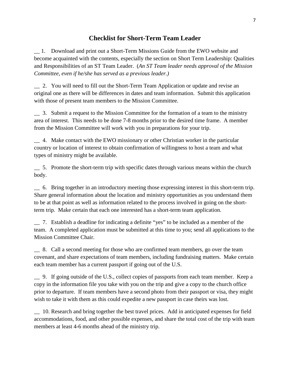#### **Checklist for Short-Term Team Leader**

\_\_ 1. Download and print out a Short-Term Missions Guide from the EWO website and become acquainted with the contents, especially the section on Short Term Leadership: Qualities and Responsibilities of an ST Team Leader. (*An ST Team leader needs approval of the Mission Committee, even if he/she has served as a previous leader.)*

\_\_ 2. You will need to fill out the Short-Term Team Application or update and revise an original one as there will be differences in dates and team information. Submit this application with those of present team members to the Mission Committee.

\_\_ 3. Submit a request to the Mission Committee for the formation of a team to the ministry area of interest. This needs to be done 7-8 months prior to the desired time frame. A member from the Mission Committee will work with you in preparations for your trip.

\_\_ 4. Make contact with the EWO missionary or other Christian worker in the particular country or location of interest to obtain confirmation of willingness to host a team and what types of ministry might be available.

\_\_ 5. Promote the short-term trip with specific dates through various means within the church body.

\_\_ 6. Bring together in an introductory meeting those expressing interest in this short-term trip. Share general information about the location and ministry opportunities as you understand them to be at that point as well as information related to the process involved in going on the shortterm trip. Make certain that each one interested has a short-term team application.

\_\_ 7. Establish a deadline for indicating a definite "yes" to be included as a member of the team. A completed application must be submitted at this time to you; send all applications to the Mission Committee Chair.

\_\_ 8. Call a second meeting for those who are confirmed team members, go over the team covenant, and share expectations of team members, including fundraising matters. Make certain each team member has a current passport if going out of the U.S.

\_\_ 9. If going outside of the U.S., collect copies of passports from each team member. Keep a copy in the information file you take with you on the trip and give a copy to the church office prior to departure. If team members have a second photo from their passport or visa, they might wish to take it with them as this could expedite a new passport in case theirs was lost.

\_\_ 10. Research and bring together the best travel prices. Add in anticipated expenses for field accommodations, food, and other possible expenses, and share the total cost of the trip with team members at least 4-6 months ahead of the ministry trip.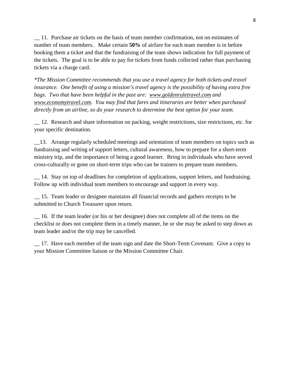\_\_ 11. Purchase air tickets on the basis of team member confirmation, not on estimates of number of team members. Make certain **50%** of airfare for each team member is in before booking them a ticket and that the fundraising of the team shows indication for full payment of the tickets. The goal is to be able to pay for tickets from funds collected rather than purchasing tickets via a charge card.

*\*The Mission Committee recommends that you use a travel agency for both tickets and travel insurance. One benefit of using a mission's travel agency is the possibility of having extra free bags. Two that have been helpful in the past are: [www.goldenruletravel.com](http://www.goldenruletravel.com/) and [www.economytravel.com.](http://www.economytravel.com/) You may find that fares and itineraries are better when purchased directly from an airline, so do your research to determine the best option for your team.*

\_\_ 12. Research and share information on packing, weight restrictions, size restrictions, etc. for your specific destination.

\_\_13. Arrange regularly scheduled meetings and orientation of team members on topics such as fundraising and writing of support letters, cultural awareness, how to prepare for a short-term ministry trip, and the importance of being a good learner. Bring in individuals who have served cross-culturally or gone on short-term trips who can be trainers to prepare team members.

\_\_ 14. Stay on top of deadlines for completion of applications, support letters, and fundraising. Follow up with individual team members to encourage and support in every way.

\_\_ 15. Team leader or designee maintains all financial records and gathers receipts to be submitted to Church Treasurer upon return.

\_\_ 16. If the team leader (or his or her designee) does not complete all of the items on the checklist or does not complete them in a timely manner, he or she may be asked to step down as team leader and/or the trip may be cancelled.

\_\_ 17. Have each member of the team sign and date the Short-Term Covenant. Give a copy to your Mission Committee liaison or the Mission Committee Chair.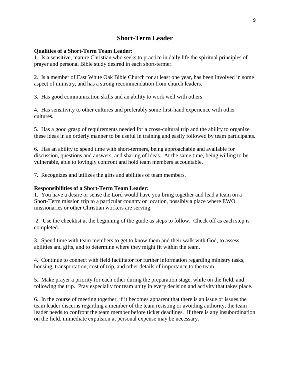# **Short-Term Leader**

#### **Qualities of a Short-Term Team Leader:**

1. Is a sensitive, mature Christian who seeks to practice in daily life the spiritual principles of prayer and personal Bible study desired in each short-termer.

2. Is a member of East White Oak Bible Church for at least one year, has been involved in some aspect of ministry, and has a strong recommendation from church leaders.

3. Has good communication skills and an ability to work well with others.

4. Has sensitivity to other cultures and preferably some first-hand experience with other cultures.

5. Has a good grasp of requirements needed for a cross-cultural trip and the ability to organize these ideas in an orderly manner to be useful in training and easily followed by team participants.

6. Has an ability to spend time with short-termers, being approachable and available for discussion, questions and answers, and sharing of ideas. At the same time, being willing to be vulnerable, able to lovingly confront and hold team members accountable.

7. Recognizes and utilizes the gifts and abilities of team members.

#### **Responsibilities of a Short-Term Team Leader:**

1. You have a desire or sense the Lord would have you bring together and lead a team on a Short-Term mission trip to a particular country or location, possibly a place where EWO missionaries or other Christian workers are serving.

2. Use the checklist at the beginning of the guide as steps to follow. Check off as each step is completed.

3. Spend time with team members to get to know them and their walk with God, to assess abilities and gifts, and to determine where they might fit within the team.

4. Continue to connect with field facilitator for further information regarding ministry tasks, housing, transportation, cost of trip, and other details of importance to the team.

5. Make prayer a priority for each other during the preparation stage, while on the field, and following the trip. Pray especially for team unity in every decision and activity that takes place.

6. In the course of meeting together, if it becomes apparent that there is an issue or issues the team leader discerns regarding a member of the team resisting or avoiding authority, the team leader needs to confront the team member before ticket deadlines. If there is any insubordination on the field, immediate expulsion at personal expense may be necessary.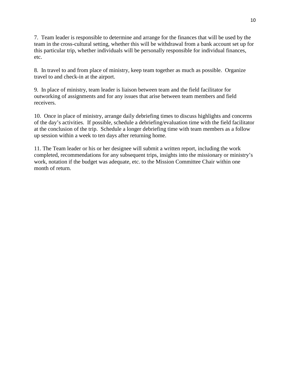7. Team leader is responsible to determine and arrange for the finances that will be used by the team in the cross-cultural setting, whether this will be withdrawal from a bank account set up for this particular trip, whether individuals will be personally responsible for individual finances, etc.

8. In travel to and from place of ministry, keep team together as much as possible. Organize travel to and check-in at the airport.

9. In place of ministry, team leader is liaison between team and the field facilitator for outworking of assignments and for any issues that arise between team members and field receivers.

10. Once in place of ministry, arrange daily debriefing times to discuss highlights and concerns of the day's activities. If possible, schedule a debriefing/evaluation time with the field facilitator at the conclusion of the trip. Schedule a longer debriefing time with team members as a follow up session within a week to ten days after returning home.

11. The Team leader or his or her designee will submit a written report, including the work completed, recommendations for any subsequent trips, insights into the missionary or ministry's work, notation if the budget was adequate, etc. to the Mission Committee Chair within one month of return.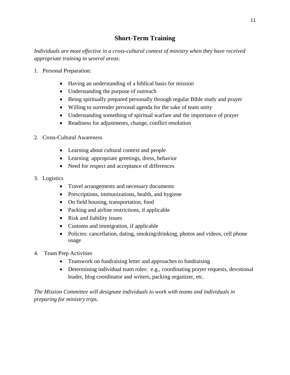# **Short-Term Training**

*Individuals are most effective in a cross-cultural context of ministry when they have received appropriate training in several areas:*

- 1. Personal Preparation:
	- Having an understanding of a biblical basis for mission
	- Understanding the purpose of outreach
	- Being spiritually prepared personally through regular Bible study and prayer
	- Willing to surrender personal agenda for the sake of team unity
	- Understanding something of spiritual warfare and the importance of prayer
	- Readiness for adjustments, change, conflict resolution
- 2. Cross-Cultural Awareness
	- Learning about cultural context and people
	- Learning appropriate greetings, dress, behavior
	- Need for respect and acceptance of differences
- 3. Logistics
	- Travel arrangements and necessary documents
	- Prescriptions, immunizations, health, and hygiene
	- On field housing, transportation, food
	- Packing and airline restrictions, if applicable
	- Risk and liability issues
	- Customs and immigration, if applicable
	- Policies: cancellation, dating, smoking/drinking, photos and videos, cell phone usage
- 4. Team Prep Activities
	- Teamwork on fundraising letter and approaches to fundraising
	- Determining individual team roles: e.g., coordinating prayer requests, devotional leader, blog coordinator and writers, packing organizer, etc.

*The Mission Committee will designate individuals to work with teams and individuals in preparing for ministry trips.*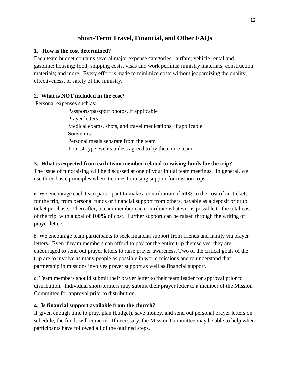# **Short-Term Travel, Financial, and Other FAQs**

#### **1. How is the cost determined?**

Each team budget contains several major expense categories: airfare; vehicle rental and gasoline; housing; food; shipping costs, visas and work permits; ministry materials; construction materials; and more. Every effort is made to minimize costs without jeopardizing the quality, effectiveness, or safety of the ministry.

# **2. What is NOT included in the cost?**

Personal expenses such as:

Passports/passport photos, if applicable Prayer letters Medical exams, shots, and travel medications, if applicable Souvenirs Personal meals separate from the team Tourist-type events unless agreed to by the entire team.

# **3. What is expected from each team member related to raising funds for the trip?**

The issue of fundraising will be discussed at one of your initial team meetings. In general, we use three basic principles when it comes to raising support for mission trips:

a. We encourage each team participant to make a contribution of **50%** to the cost of air tickets for the trip, from personal funds or financial support from others, payable as a deposit prior to ticket purchase. Thereafter, a team member can contribute whatever is possible to the total cost of the trip, with a goal of **100%** of cost. Further support can be raised through the writing of prayer letters.

b. We encourage team participants to seek financial support from friends and family via prayer letters. Even if team members can afford to pay for the entire trip themselves, they are encouraged to send out prayer letters to raise prayer awareness. Two of the critical goals of the trip are to involve as many people as possible in world missions and to understand that partnership in missions involves prayer support as well as financial support.

c. Team members should submit their prayer letter to their team leader for approval prior to distribution. Individual short-termers may submit their prayer letter to a member of the Mission Committee for approval prior to distribution.

# **4. Is financial support available from the church?**

If given enough time to pray, plan (budget), save money, and send out personal prayer letters on schedule, the funds will come in. If necessary, the Mission Committee may be able to help when participants have followed all of the outlined steps.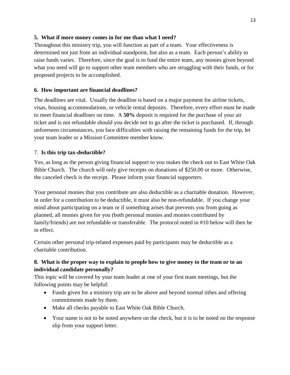#### **5. What if more money comes in for me than what I need?**

Throughout this ministry trip, you will function as part of a team. Your effectiveness is determined not just from an individual standpoint, but also as a team. Each person's ability to raise funds varies. Therefore, since the goal is to fund the entire team, any monies given beyond what you need will go to support other team members who are struggling with their funds, or for proposed projects to be accomplished.

# **6. How important are financial deadlines?**

The deadlines are vital. Usually the deadline is based on a major payment for airline tickets, visas, housing accommodations, or vehicle rental deposits. Therefore, every effort must be made to meet financial deadlines on time. A **50%** deposit is required for the purchase of your air ticket and is not refundable should you decide not to go after the ticket is purchased. If, through unforeseen circumstances, you face difficulties with raising the remaining funds for the trip, let your team leader or a Mission Committee member know.

# 7. **Is this trip tax-deductible?**

Yes, as long as the person giving financial support to you makes the check out to East White Oak Bible Church. The church will only give receipts on donations of \$250.00 or more. Otherwise, the canceled check is the receipt. Please inform your financial supporters.

Your personal monies that you contribute are also deductible as a charitable donation. However, in order for a contribution to be deductible, it must also be non-refundable. If you change your mind about participating on a team or if something arises that prevents you from going as planned, all monies given for you (both personal monies and monies contributed by family/friends) are not refundable or transferable. The protocol noted in #10 below will then be in effect.

Certain other personal trip-related expenses paid by participants may be deductible as a charitable contribution.

# **8. What is the proper way to explain to people how to give money to the team or to an individual candidate personally?**

This topic will be covered by your team leader at one of your first team meetings, but the following points may be helpful:

- Funds given for a ministry trip are to be above and beyond normal tithes and offering commitments made by them.
- Make all checks payable to East White Oak Bible Church.
- Your name is not to be noted anywhere on the check, but it is to be noted on the response slip from your support letter.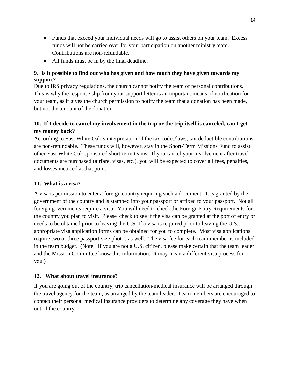- Funds that exceed your individual needs will go to assist others on your team. Excess funds will not be carried over for your participation on another ministry team. Contributions are non-refundable.
- All funds must be in by the final deadline.

#### **9. Is it possible to find out who has given and how much they have given towards my support?**

Due to IRS privacy regulations, the church cannot notify the team of personal contributions. This is why the response slip from your support letter is an important means of notification for your team, as it gives the church permission to notify the team that a donation has been made, but not the amount of the donation.

# **10. If I decide to cancel my involvement in the trip or the trip itself is canceled, can I get my money back?**

According to East White Oak's interpretation of the tax codes/laws, tax-deductible contributions are non-refundable. These funds will, however, stay in the Short-Term Missions Fund to assist other East White Oak sponsored short-term teams. If you cancel your involvement after travel documents are purchased (airfare, visas, etc.), you will be expected to cover all fees, penalties, and losses incurred at that point.

# **11. What is a visa?**

A visa is permission to enter a foreign country requiring such a document. It is granted by the government of the country and is stamped into your passport or affixed to your passport. Not all foreign governments require a visa. You will need to check the Foreign Entry Requirements for the country you plan to visit. Please check to see if the visa can be granted at the port of entry or needs to be obtained prior to leaving the U.S. If a visa is required prior to leaving the U.S., appropriate visa application forms can be obtained for you to complete. Most visa applications require two or three passport-size photos as well. The visa fee for each team member is included in the team budget. (Note: If you are not a U.S. citizen, please make certain that the team leader and the Mission Committee know this information. It may mean a different visa process for you.)

# **12. What about travel insurance?**

If you are going out of the country, trip cancellation/medical insurance will be arranged through the travel agency for the team, as arranged by the team leader. Team members are encouraged to contact their personal medical insurance providers to determine any coverage they have when out of the country.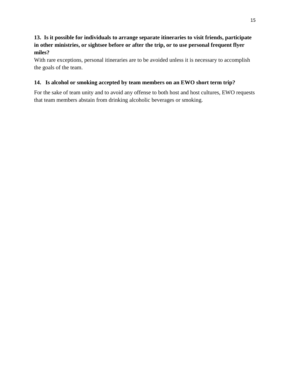# **13. Is it possible for individuals to arrange separate itineraries to visit friends, participate in other ministries, or sightsee before or after the trip, or to use personal frequent flyer miles?**

With rare exceptions, personal itineraries are to be avoided unless it is necessary to accomplish the goals of the team.

#### **14. Is alcohol or smoking accepted by team members on an EWO short term trip?**

For the sake of team unity and to avoid any offense to both host and host cultures, EWO requests that team members abstain from drinking alcoholic beverages or smoking.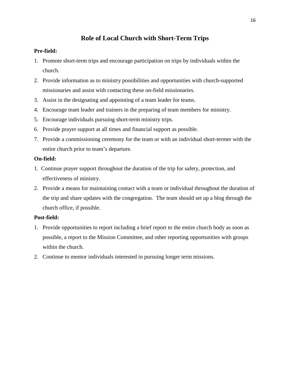# **Role of Local Church with Short-Term Trips**

#### **Pre-field:**

- 1. Promote short-term trips and encourage participation on trips by individuals within the church.
- 2. Provide information as to ministry possibilities and opportunities with church-supported missionaries and assist with contacting these on-field missionaries.
- 3. Assist in the designating and appointing of a team leader for teams.
- 4. Encourage team leader and trainers in the preparing of team members for ministry.
- 5. Encourage individuals pursuing short-term ministry trips.
- 6. Provide prayer support at all times and financial support as possible.
- 7. Provide a commissioning ceremony for the team or with an individual short-termer with the entire church prior to team's departure.

#### **On-field:**

- 1. Continue prayer support throughout the duration of the trip for safety, protection, and effectiveness of ministry.
- 2. Provide a means for maintaining contact with a team or individual throughout the duration of the trip and share updates with the congregation. The team should set up a blog through the church office, if possible.

#### **Post-field:**

- 1. Provide opportunities to report including a brief report to the entire church body as soon as possible, a report to the Mission Committee, and other reporting opportunities with groups within the church.
- 2. Continue to mentor individuals interested in pursuing longer term missions.